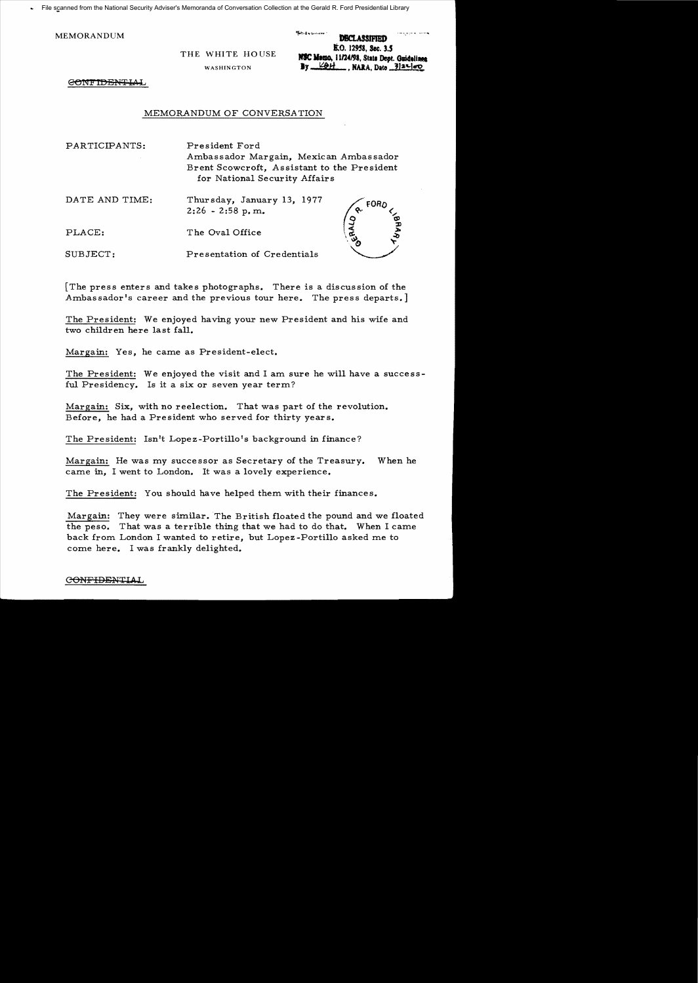File scanned from the National Security Adviser's Memoranda of Conversation Collection at the Gerald R. Ford Presidential Library

WASHINGTON **.y** 

MEMORANDUM **DECLASSIFIED** R.O. 12958, Sec. 3.5 THE WHITE HOUSE **NSC Memo, 11/24/98**, State Dept. Guidelines  $By  $\angle 2H$ , NARA, Data  $\frac{3}{2}\left|2L\right|\right|$$ 

' ....... ,... .....'.."

CONFIDENTIAL

## MEMORANDUM OF CONVERSATION

| PARTICIPANTS:  | President Ford<br>Ambassador Margain, Mexican Ambassador<br>Brent Scowcroft, Assistant to the President<br>for National Security Affairs |                                   |  |
|----------------|------------------------------------------------------------------------------------------------------------------------------------------|-----------------------------------|--|
| DATE AND TIME: | Thursday, January 13, 1977<br>$2:26 - 2:58$ p.m.                                                                                         | FORD                              |  |
| PLACE:         | The Oval Office                                                                                                                          | $\mathsf{RA}_{\mathsf{P}}$<br>Eyo |  |
| SUBJECT:       | Presentation of Credentials                                                                                                              |                                   |  |

[The press enters and takes photographs. There is a discussion of the Ambassador's career and the previous tour here. The press departs.]

The President: We enjoyed having your new President and his wife and two children here last fall.

Margain: Yes, he came as President-elect.

The President: We enjoyed the visit and I am sure he will have a successful Presidency. Is it a six or seven year term?

Margain: Six, with no reelection. That was part of the revolution. Before, he had a President who served for thirty years.

The President: Isn't Lopez-Portillo's background in finance?

Margain: He was my successor as Secretary of the Treasury. When he came in, I went to London. It was a lovely experience.

The President: You should have helped them with their finances.

Margain: They were similar. The British floated the pound and we floated the peso. That was a terrible thing that we had to do that. When I came back from London I wanted to retire, but Lopez -Portillo asked me to come here. I was frankly delighted.

## GONFIDENTIAL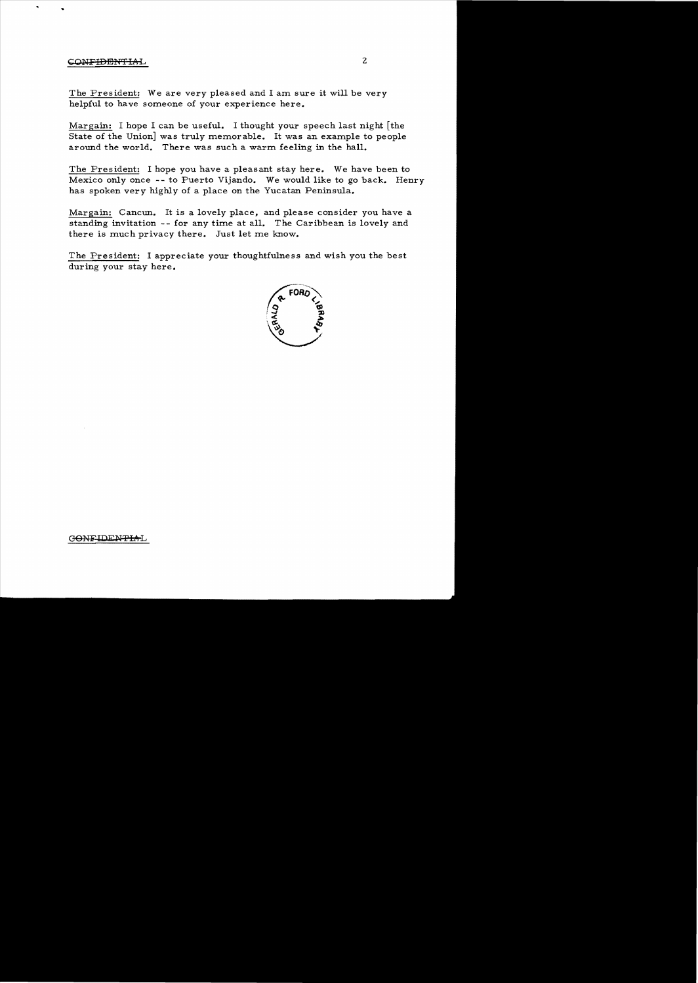## CONFIDENTIAL 2

The President: We are very pleased and I am sure it will be very helpful to have someone of your experience here.

Margain: I hope I can be useful. I thought your speech last night [the State of the Union] was truly memorable. It was an example to people around the world. There was such a warm feeling in the hall.

The President: I hope you have a pleasant stay here. We have been to Mexico only once -- to Puerto Vijando. We would like to go back. Henry has spoken very highly of a place on the Yucatan Peninsula.

Margain: Cancun. It is a lovely place, and please consider you have a standing invitation -- for any time at all. The Caribbean is lovely and there is much privacy there. Just let me know.

The President: I appreciate your thoughtfulness and wish you the best during your stay here.



## CONFIDENTIAL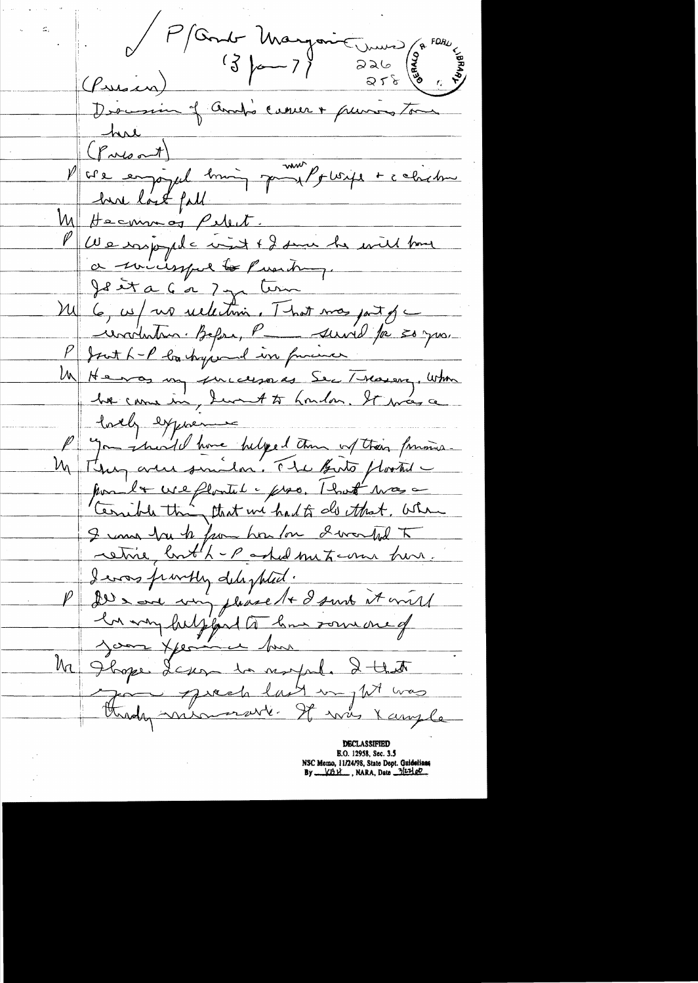P (Condr Margarit wurd) (a<sup>FOR)</sup> hui<br>(Priont) (Pres nt)<br>V cre empoyed him part plusife + c chichne M Hecomos Pelect. <u>Puse rappele visit + 2 sur he will bare</u> a minimpel to Puesting. Jesta 6 a 7 y term M 6, 05/ no sultani, That mas part of ievalution. Before, Par servid par son your P Just L-P loa hyperend in funcioner Un Henry incurre Se Traison, When<br>he came in Sunt to houdon, It was a Lorely exposure P you invited home helped than of their formine. pour la cre plontil e pro, That was a I una bru to from how for I wanted To retire, bouth-partial meterne hon. I evas frivitly delighted.<br>P De soor von please to I suite it will M Jlope Lexan da suppole 2 that Friday minimare last un pt was

E.O. 12958, Sec. 3.5